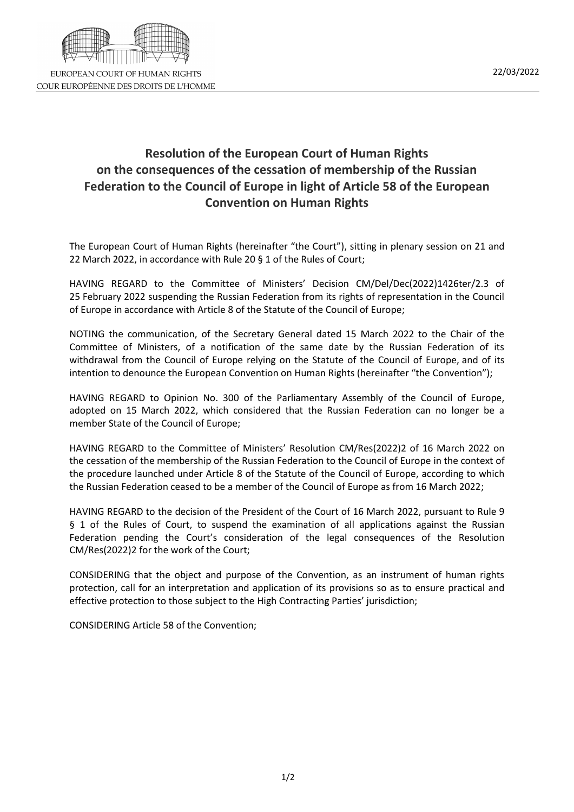

## **Resolution of the European Court of Human Rights on the consequences of the cessation of membership of the Russian Federation to the Council of Europe in light of Article 58 of the European Convention on Human Rights**

The European Court of Human Rights (hereinafter "the Court"), sitting in plenary session on 21 and 22 March 2022, in accordance with Rule 20 § 1 of the Rules of Court;

HAVING REGARD to the Committee of Ministers' Decision CM/Del/Dec(2022)1426ter/2.3 of 25 February 2022 suspending the Russian Federation from its rights of representation in the Council of Europe in accordance with Article 8 of the Statute of the Council of Europe;

NOTING the communication, of the Secretary General dated 15 March 2022 to the Chair of the Committee of Ministers, of a notification of the same date by the Russian Federation of its withdrawal from the Council of Europe relying on the Statute of the Council of Europe, and of its intention to denounce the European Convention on Human Rights (hereinafter "the Convention");

HAVING REGARD to Opinion No. 300 of the Parliamentary Assembly of the Council of Europe, adopted on 15 March 2022, which considered that the Russian Federation can no longer be a member State of the Council of Europe;

HAVING REGARD to the Committee of Ministers' Resolution CM/Res(2022)2 of 16 March 2022 on the cessation of the membership of the Russian Federation to the Council of Europe in the context of the procedure launched under Article 8 of the Statute of the Council of Europe, according to which the Russian Federation ceased to be a member of the Council of Europe as from 16 March 2022;

HAVING REGARD to the decision of the President of the Court of 16 March 2022, pursuant to Rule 9 § 1 of the Rules of Court, to suspend the examination of all applications against the Russian Federation pending the Court's consideration of the legal consequences of the Resolution CM/Res(2022)2 for the work of the Court;

CONSIDERING that the object and purpose of the Convention, as an instrument of human rights protection, call for an interpretation and application of its provisions so as to ensure practical and effective protection to those subject to the High Contracting Parties' jurisdiction;

CONSIDERING Article 58 of the Convention;